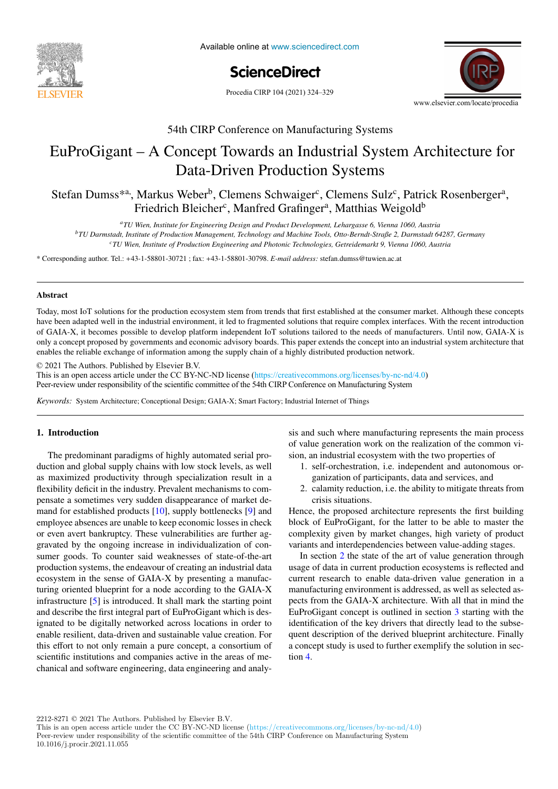

Available online at www.sciencedirect.com Available online at www.sciencedirect.

# **ScienceDirect** ScienceDirect



 $\frac{1}{2}$  th CIRP Conference on Manufacturing Systems Systems Systems Systems Systems Systems Systems Systems Systems Systems Systems Systems Systems Systems Systems Systems Systems Systems Systems Systems Systems Systems 54th CIRP Conference on Manufacturing Systems

### 28 Concept Towards an Industrial System EuProGigant – A Concept Towards an Industrial System Architecture for Data-Driven Production Systems EuProGigant – A Concept Towards an Industrial System Architecture for Data-Driven Production Systems

Stefan Dumss\*<sup>a,</sup> Markus Weber<sup>b</sup>, Clemens Schwaiger<sup>c</sup>, Clemens Sulz<sup>c</sup>, Petrick Rosenberger<sup>a</sup> Friedrich Bleicher<sup>c</sup>, Manfred Grafinger<sup>a</sup>, Matthias Weigold<sup>b</sup> Stefan Dumss<sup>\*a</sup>, Markus Weber<sup>b</sup>, Clemens Schwaiger<sup>c</sup>, Clemens Sulz<sup>c</sup>, Patrick Rosenberger<sup>a</sup>,

<sup>a</sup>TU Wien, Institute for Engineering Design and Product Development, Lehargasse 6, Vienna 1060, Austria

production Management, Technology and Machine Tools, Otto-Berndt-Straße 2, Darmstadt 64287, Germany by TU Darmstadt, Institute of Production Management, Technology and Machine Tools, Otto-Berndt-Straße 2, Darmstadt 64287,

<sup>c</sup>TU Wien, Institute of Production Engineering and Photonic Technologies, Getreidemarkt 9, Vienna 1060, Austria

\* Corresponding author. Tel.: +43-1-58801-30721 ; fax: +43-1-58801-30798. E-mail address: stefan.dumss@tuwien.ac.at

#### Abstract **Abstract**

Today, most IoT solutions for the production ecosystem stem from trends that first established at the consumer market. Although these concepts of GAIA-X, it becomes possible to develop platform independent IoT solutions tailored to the needs of manufacturers. Until now, GAIA-X is only a concept proposed by governments and economic advisory boards. This paper extends the concept into an industrial system architecture that enables the reliable exchange of information among the supply chain of a highly distributed production network. have been adapted well in the industrial environment, it led to fragmented solutions that require complex interfaces. With the recent introduction

a functional analysis is performed. Moreover, a hybrid functional and physical architecture graph (HyFPAG) is the output which depicts the

© 2021 The Authors. Published by Elsevier B.V.

This is an open access article under the CC BY-NC-ND license (https://creativecommons.org/licenses/by-nc-nd/4.0) Peer-review under responsibility of the scientific committee of the 54th CIRP Conference on Manufacturing System

Keywords: System Architecture; Conceptional Design; GAIA-X; Smart Factory; Industrial Internet of Things assembly systems. Based on  $P$  and  $P$  the physical structure of the physical structure of the physical subassemblies are identified, and  $P$  and  $P$  and  $P$  and  $P$  and  $P$  and  $P$  and  $P$  and  $P$  and  $P$  and  $P$  and  $P$ *Keywords:* System Architecture; Conceptional Design; GAIA-X; Smart Factory; Industrial Internet of Things

## 1. Introduction

The predominant paradigms of highly automated serial production and global supply chains with low stock levels, as well **1.** self-orchestration, i flexibility deficit in the industry. Prevalent mechanisms to comor even avert bankruptcy. These vulnerabilities are further agsumer goods. To counter said weaknesses of state-of-the-art production systems, the endeavour of creating an industrial data ecosystem in the sense of GAIA-X by presenting a manufacturing oriented blueprint for a node according to the GAIA-X infrastructure [5] is introduced. It shall mark the starting point and describe the first integral part of EuProGigant which is designated to be digitally networked across locations in order to enable resilient, data-driven and sustainable value creation. For this effort to not only remain a pure concept, a consortium of scientific institutions and companies active in the areas of mechanical and software engineering, data engineering and analyas maximized productivity through specialization result in a pensate a sometimes very sudden disappearance of market demand for established products [10], supply bottlenecks [9] and employee absences are unable to keep economic losses in check gravated by the ongoing increase in individualization of con-

1. Introduction sis and such where manufacturing represents the main process of value generation work on the realization of the common vithe state France is the carried out to give a first industrial evaluation of the proposed approach. sion, an industrial ecosystem with the two properties of

- 1. self-orchestration, i.e. independent and autonomous organization of participants, data and services, and
	- 2. calamity reduction, i.e. the ability to mitigate threats from crisis situations.

complexity given by market changes, high variety of product variants and interdependencies between value-adding stages. Hence, the proposed architecture represents the first building block of EuProGigant, for the latter to be able to master the

In section 2 the state of the art of value generation through usage of data in current production ecosystems is reflected and<br>current research to enable data-driven value generation in a current research to enable data-driven value generation in a manufacturing environment is addressed, as well as selected aspects from the GAIA-X architecture. With all that in mind the EuProGigant concept is outlined in section 3 starting with the identification of the key drivers that directly lead to the subsequent description of the derived blueprint architecture. Finally a concept study is used to further exemplify the solution in sec- $\Omega$  and  $\Omega$ tion 4.  $\frac{4}{100}$ 

 $2212-8271$  © 2021 The Authors. Published by Elsevier B.V.

This is an open access article under the CC BY-NC-ND license (https://creativecommons.org/licenses/by-nc-nd/4.0) Peer-review under responsibility of the scientific committee of the 54th CIRP Conference on Manufacturing System 10.1016/j.procir.2021.11.055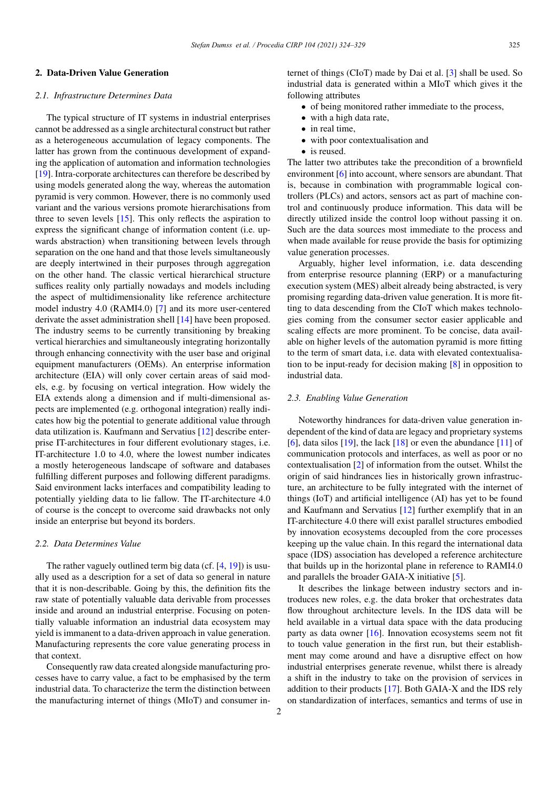## 2. Data-Driven Value Generation

## *2.1. Infrastructure Determines Data*

The typical structure of IT systems in industrial enterprises cannot be addressed as a single architectural construct but rather as a heterogeneous accumulation of legacy components. The latter has grown from the continuous development of expanding the application of automation and information technologies [19]. Intra-corporate architectures can therefore be described by using models generated along the way, whereas the automation pyramid is very common. However, there is no commonly used variant and the various versions promote hierarchisations from three to seven levels [15]. This only reflects the aspiration to express the significant change of information content (i.e. upwards abstraction) when transitioning between levels through separation on the one hand and that those levels simultaneously are deeply intertwined in their purposes through aggregation on the other hand. The classic vertical hierarchical structure suffices reality only partially nowadays and models including the aspect of multidimensionality like reference architecture model industry 4.0 (RAMI4.0) [7] and its more user-centered derivate the asset administration shell [14] have been proposed. The industry seems to be currently transitioning by breaking vertical hierarchies and simultaneously integrating horizontally through enhancing connectivity with the user base and original equipment manufacturers (OEMs). An enterprise information architecture (EIA) will only cover certain areas of said models, e.g. by focusing on vertical integration. How widely the EIA extends along a dimension and if multi-dimensional aspects are implemented (e.g. orthogonal integration) really indicates how big the potential to generate additional value through data utilization is. Kaufmann and Servatius [12] describe enterprise IT-architectures in four different evolutionary stages, i.e. IT-architecture 1.0 to 4.0, where the lowest number indicates a mostly heterogeneous landscape of software and databases fulfilling different purposes and following different paradigms. Said environment lacks interfaces and compatibility leading to potentially yielding data to lie fallow. The IT-architecture 4.0 of course is the concept to overcome said drawbacks not only inside an enterprise but beyond its borders.

## *2.2. Data Determines Value*

The rather vaguely outlined term big data (cf. [4, 19]) is usually used as a description for a set of data so general in nature that it is non-describable. Going by this, the definition fits the raw state of potentially valuable data derivable from processes inside and around an industrial enterprise. Focusing on potentially valuable information an industrial data ecosystem may yield is immanent to a data-driven approach in value generation. Manufacturing represents the core value generating process in that context.

Consequently raw data created alongside manufacturing processes have to carry value, a fact to be emphasised by the term industrial data. To characterize the term the distinction between the manufacturing internet of things (MIoT) and consumer internet of things (CIoT) made by Dai et al. [3] shall be used. So industrial data is generated within a MIoT which gives it the following attributes

- of being monitored rather immediate to the process,
- with a high data rate,
- in real time,
- with poor contextualisation and
- is reused.

The latter two attributes take the precondition of a brownfield environment [6] into account, where sensors are abundant. That is, because in combination with programmable logical controllers (PLCs) and actors, sensors act as part of machine control and continuously produce information. This data will be directly utilized inside the control loop without passing it on. Such are the data sources most immediate to the process and when made available for reuse provide the basis for optimizing value generation processes.

Arguably, higher level information, i.e. data descending from enterprise resource planning (ERP) or a manufacturing execution system (MES) albeit already being abstracted, is very promising regarding data-driven value generation. It is more fitting to data descending from the CIoT which makes technologies coming from the consumer sector easier applicable and scaling effects are more prominent. To be concise, data available on higher levels of the automation pyramid is more fitting to the term of smart data, i.e. data with elevated contextualisation to be input-ready for decision making [8] in opposition to industrial data.

#### *2.3. Enabling Value Generation*

Noteworthy hindrances for data-driven value generation independent of the kind of data are legacy and proprietary systems [6], data silos  $[19]$ , the lack  $[18]$  or even the abundance  $[11]$  of communication protocols and interfaces, as well as poor or no contextualisation [2] of information from the outset. Whilst the origin of said hindrances lies in historically grown infrastructure, an architecture to be fully integrated with the internet of things (IoT) and artificial intelligence (AI) has yet to be found and Kaufmann and Servatius [12] further exemplify that in an IT-architecture 4.0 there will exist parallel structures embodied by innovation ecosystems decoupled from the core processes keeping up the value chain. In this regard the international data space (IDS) association has developed a reference architecture that builds up in the horizontal plane in reference to RAMI4.0 and parallels the broader GAIA-X initiative [5].

It describes the linkage between industry sectors and introduces new roles, e.g. the data broker that orchestrates data flow throughout architecture levels. In the IDS data will be held available in a virtual data space with the data producing party as data owner [16]. Innovation ecosystems seem not fit to touch value generation in the first run, but their establishment may come around and have a disruptive effect on how industrial enterprises generate revenue, whilst there is already a shift in the industry to take on the provision of services in addition to their products [17]. Both GAIA-X and the IDS rely on standardization of interfaces, semantics and terms of use in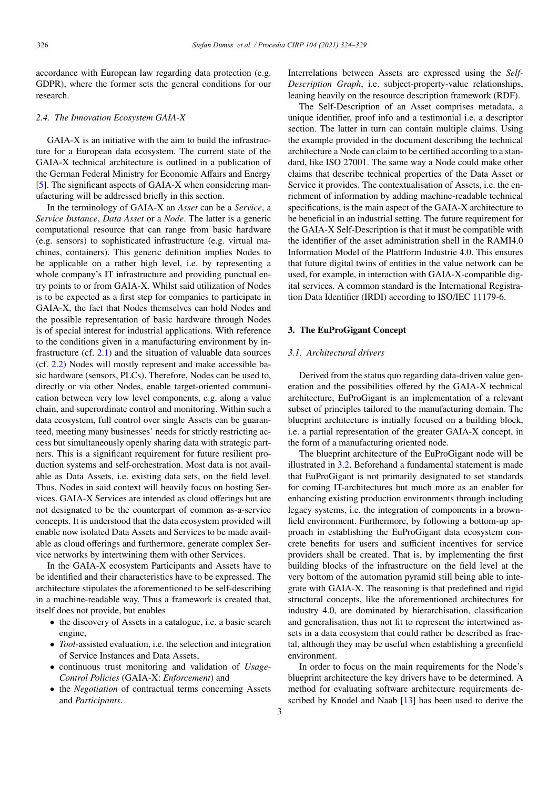accordance with European law regarding data protection (e.g. GDPR), where the former sets the general conditions for our research.

# *2.4. The Innovation Ecosystem GAIA-X*

GAIA-X is an initiative with the aim to build the infrastructure for a European data ecosystem. The current state of the GAIA-X technical architecture is outlined in a publication of the German Federal Ministry for Economic Affairs and Energy [5]. The significant aspects of GAIA-X when considering manufacturing will be addressed briefly in this section.

In the terminology of GAIA-X an *Asset* can be a *Service*, a *Service Instance*, *Data Asset* or a *Node*. The latter is a generic computational resource that can range from basic hardware (e.g. sensors) to sophisticated infrastructure (e.g. virtual machines, containers). This generic definition implies Nodes to be applicable on a rather high level, i.e. by representing a whole company's IT infrastructure and providing punctual entry points to or from GAIA-X. Whilst said utilization of Nodes is to be expected as a first step for companies to participate in GAIA-X, the fact that Nodes themselves can hold Nodes and the possible representation of basic hardware through Nodes is of special interest for industrial applications. With reference to the conditions given in a manufacturing environment by infrastructure (cf. 2.1) and the situation of valuable data sources (cf. 2.2) Nodes will mostly represent and make accessible basic hardware (sensors, PLCs). Therefore, Nodes can be used to, directly or via other Nodes, enable target-oriented communication between very low level components, e.g. along a value chain, and superordinate control and monitoring. Within such a data ecosystem, full control over single Assets can be guaranteed, meeting many businesses' needs for strictly restricting access but simultaneously openly sharing data with strategic partners. This is a significant requirement for future resilient production systems and self-orchestration. Most data is not available as Data Assets, i.e. existing data sets, on the field level. Thus, Nodes in said context will heavily focus on hosting Services. GAIA-X Services are intended as cloud offerings but are not designated to be the counterpart of common as-a-service concepts. It is understood that the data ecosystem provided will enable now isolated Data Assets and Services to be made available as cloud offerings and furthermore, generate complex Service networks by intertwining them with other Services.

In the GAIA-X ecosystem Participants and Assets have to be identified and their characteristics have to be expressed. The architecture stipulates the aforementioned to be self-describing in a machine-readable way. Thus a framework is created that, itself does not provide, but enables

- the discovery of Assets in a catalogue, i.e. a basic search engine,
- *Tool*-assisted evaluation, i.e. the selection and integration of Service Instances and Data Assets,
- continuous trust monitoring and validation of *Usage-Control Policies* (GAIA-X: *Enforcement*) and
- the *Negotiation* of contractual terms concerning Assets and *Participants*.

Interrelations between Assets are expressed using the *Self-Description Graph*, i.e. subject-property-value relationships, leaning heavily on the resource description framework (RDF).

The Self-Description of an Asset comprises metadata, a unique identifier, proof info and a testimonial i.e. a descriptor section. The latter in turn can contain multiple claims. Using the example provided in the document describing the technical architecture a Node can claim to be certified according to a standard, like ISO 27001. The same way a Node could make other claims that describe technical properties of the Data Asset or Service it provides. The contextualisation of Assets, i.e. the enrichment of information by adding machine-readable technical specifications, is the main aspect of the GAIA-X architecture to be beneficial in an industrial setting. The future requirement for the GAIA-X Self-Description is that it must be compatible with the identifier of the asset administration shell in the RAMI4.0 Information Model of the Plattform Industrie 4.0. This ensures that future digital twins of entities in the value network can be used, for example, in interaction with GAIA-X-compatible digital services. A common standard is the International Registration Data Identifier (IRDI) according to ISO/IEC 11179-6.

# 3. The EuProGigant Concept

# *3.1. Architectural drivers*

Derived from the status quo regarding data-driven value generation and the possibilities offered by the GAIA-X technical architecture, EuProGigant is an implementation of a relevant subset of principles tailored to the manufacturing domain. The blueprint architecture is initially focused on a building block, i.e. a partial representation of the greater GAIA-X concept, in the form of a manufacturing oriented node.

The blueprint architecture of the EuProGigant node will be illustrated in 3.2. Beforehand a fundamental statement is made that EuProGigant is not primarily designated to set standards for coming IT-architectures but much more as an enabler for enhancing existing production environments through including legacy systems, i.e. the integration of components in a brownfield environment. Furthermore, by following a bottom-up approach in establishing the EuProGigant data ecosystem concrete benefits for users and sufficient incentives for service providers shall be created. That is, by implementing the first building blocks of the infrastructure on the field level at the very bottom of the automation pyramid still being able to integrate with GAIA-X. The reasoning is that predefined and rigid structural concepts, like the aforementioned architectures for industry 4.0, are dominated by hierarchisation, classification and generalisation, thus not fit to represent the intertwined assets in a data ecosystem that could rather be described as fractal, although they may be useful when establishing a greenfield environment.

In order to focus on the main requirements for the Node's blueprint architecture the key drivers have to be determined. A method for evaluating software architecture requirements described by Knodel and Naab [13] has been used to derive the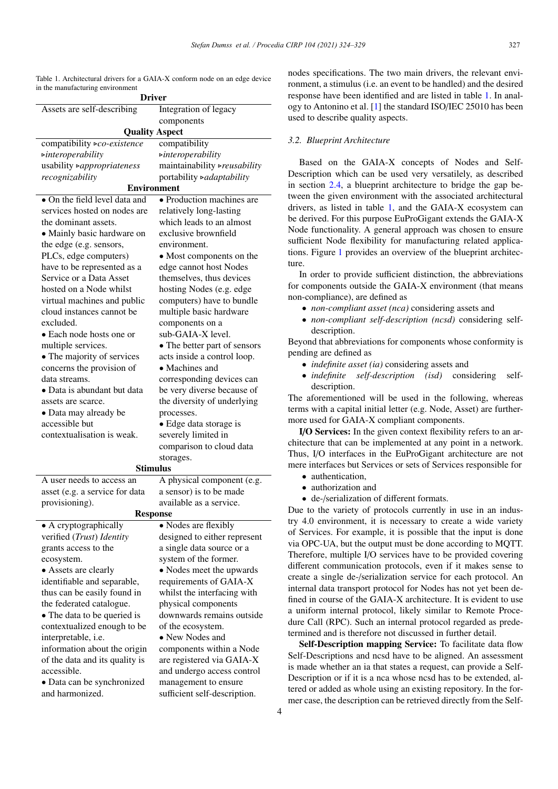Table 1. Architectural drivers for a GAIA-X conform node on an edge device in the manufacturing environment

| <b>Driver</b>                                              |                                                       |
|------------------------------------------------------------|-------------------------------------------------------|
| Assets are self-describing                                 | Integration of legacy                                 |
|                                                            | components                                            |
| <b>Quality Aspect</b>                                      |                                                       |
| compatibility >co-existence                                | compatibility                                         |
| $\triangleright$ interoperability                          | $\triangleright$ interoperability                     |
| usability >appropriateness                                 | maintainability > reusability                         |
| recognizability                                            | portability >adaptability                             |
| <b>Environment</b>                                         |                                                       |
| • On the field level data and                              | • Production machines are                             |
| services hosted on nodes are                               | relatively long-lasting                               |
| the dominant assets.                                       | which leads to an almost                              |
| • Mainly basic hardware on                                 | exclusive brownfield                                  |
| the edge (e.g. sensors,                                    | environment.                                          |
| PLCs, edge computers)                                      | • Most components on the                              |
| have to be represented as a                                | edge cannot host Nodes                                |
| Service or a Data Asset                                    | themselves, thus devices                              |
| hosted on a Node whilst                                    | hosting Nodes (e.g. edge                              |
| virtual machines and public                                | computers) have to bundle                             |
| cloud instances cannot be                                  | multiple basic hardware                               |
| excluded.                                                  | components on a                                       |
| • Each node hosts one or                                   | sub-GAIA-X level.                                     |
| multiple services.                                         | • The better part of sensors                          |
| • The majority of services                                 | acts inside a control loop.                           |
| concerns the provision of                                  | • Machines and                                        |
| data streams.                                              | corresponding devices can                             |
| • Data is abundant but data                                | be very diverse because of                            |
| assets are scarce.                                         | the diversity of underlying                           |
| • Data may already be                                      | processes.                                            |
| accessible but                                             | · Edge data storage is                                |
| contextualisation is weak.                                 | severely limited in                                   |
|                                                            | comparison to cloud data                              |
| storages.                                                  |                                                       |
| <b>Stimulus</b>                                            |                                                       |
| A user needs to access an                                  | A physical component (e.g.                            |
| asset (e.g. a service for data                             | a sensor) is to be made                               |
| provisioning).                                             | available as a service.                               |
| Response                                                   |                                                       |
| • A cryptographically                                      | • Nodes are flexibly                                  |
| verified (Trust) Identity                                  | designed to either represent                          |
| grants access to the                                       | a single data source or a                             |
| ecosystem.                                                 | system of the former.                                 |
| • Assets are clearly                                       | • Nodes meet the upwards                              |
| identifiable and separable,<br>thus can be easily found in | requirements of GAIA-X<br>whilst the interfacing with |
| the federated catalogue.                                   | physical components                                   |
| • The data to be queried is                                | downwards remains outside                             |
| contextualized enough to be                                | of the ecosystem.                                     |
| interpretable, i.e.                                        | • New Nodes and                                       |
| information about the origin                               | components within a Node                              |
| of the data and its quality is                             | are registered via GAIA-X                             |
| accessible.                                                | and undergo access control                            |
| • Data can be synchronized                                 | management to ensure                                  |
| and harmonized.                                            | sufficient self-description.                          |
|                                                            |                                                       |

nodes specifications. The two main drivers, the relevant environment, a stimulus (i.e. an event to be handled) and the desired response have been identified and are listed in table 1. In analogy to Antonino et al. [1] the standard ISO/IEC 25010 has been used to describe quality aspects.

# *3.2. Blueprint Architecture*

Based on the GAIA-X concepts of Nodes and Self-Description which can be used very versatilely, as described in section 2.4, a blueprint architecture to bridge the gap between the given environment with the associated architectural drivers, as listed in table 1, and the GAIA-X ecosystem can be derived. For this purpose EuProGigant extends the GAIA-X Node functionality. A general approach was chosen to ensure sufficient Node flexibility for manufacturing related applications. Figure 1 provides an overview of the blueprint architecture.

In order to provide sufficient distinction, the abbreviations for components outside the GAIA-X environment (that means non-compliance), are defined as

- *non-compliant asset (nca)* considering assets and
- *non-compliant self-description (ncsd)* considering selfdescription.

Beyond that abbreviations for components whose conformity is pending are defined as

- *indefinite asset (ia)* considering assets and
- *indefinite self-description (isd)* considering selfdescription.

The aforementioned will be used in the following, whereas terms with a capital initial letter (e.g. Node, Asset) are furthermore used for GAIA-X compliant components.

I/O Services: In the given context flexibility refers to an architecture that can be implemented at any point in a network. Thus, I/O interfaces in the EuProGigant architecture are not mere interfaces but Services or sets of Services responsible for

- authentication,
- authorization and
- de-/serialization of different formats.

Due to the variety of protocols currently in use in an industry 4.0 environment, it is necessary to create a wide variety of Services. For example, it is possible that the input is done via OPC-UA, but the output must be done according to MQTT. Therefore, multiple I/O services have to be provided covering different communication protocols, even if it makes sense to create a single de-/serialization service for each protocol. An internal data transport protocol for Nodes has not yet been defined in course of the GAIA-X architecture. It is evident to use a uniform internal protocol, likely similar to Remote Procedure Call (RPC). Such an internal protocol regarded as predetermined and is therefore not discussed in further detail.

Self-Description mapping Service: To facilitate data flow Self-Descriptions and ncsd have to be aligned. An assessment is made whether an ia that states a request, can provide a Self-Description or if it is a nca whose ncsd has to be extended, altered or added as whole using an existing repository. In the former case, the description can be retrieved directly from the Self-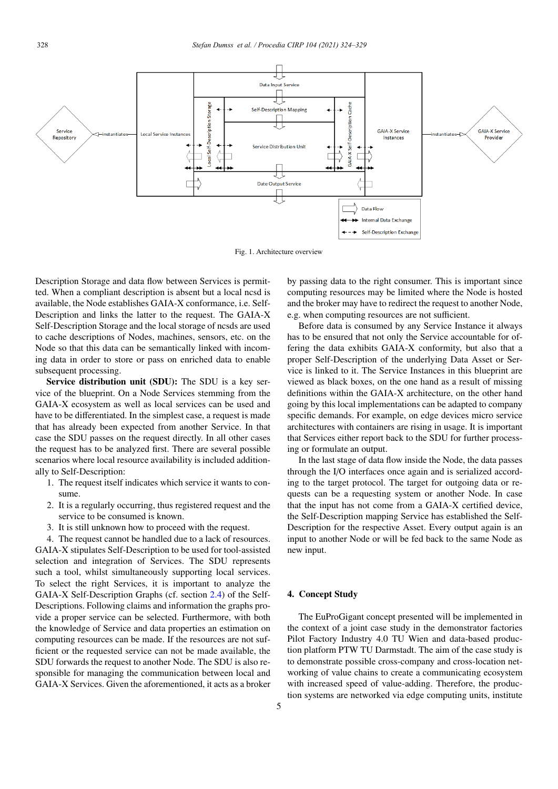

Fig. 1. Architecture overview

Description Storage and data flow between Services is permitted. When a compliant description is absent but a local ncsd is available, the Node establishes GAIA-X conformance, i.e. Self-Description and links the latter to the request. The GAIA-X Self-Description Storage and the local storage of ncsds are used to cache descriptions of Nodes, machines, sensors, etc. on the Node so that this data can be semantically linked with incoming data in order to store or pass on enriched data to enable subsequent processing.

Service distribution unit (SDU): The SDU is a key service of the blueprint. On a Node Services stemming from the GAIA-X ecosystem as well as local services can be used and have to be differentiated. In the simplest case, a request is made that has already been expected from another Service. In that case the SDU passes on the request directly. In all other cases the request has to be analyzed first. There are several possible scenarios where local resource availability is included additionally to Self-Description:

- 1. The request itself indicates which service it wants to consume.
- 2. It is a regularly occurring, thus registered request and the service to be consumed is known.
- 3. It is still unknown how to proceed with the request.

4. The request cannot be handled due to a lack of resources. GAIA-X stipulates Self-Description to be used for tool-assisted selection and integration of Services. The SDU represents such a tool, whilst simultaneously supporting local services. To select the right Services, it is important to analyze the GAIA-X Self-Description Graphs (cf. section 2.4) of the Self-Descriptions. Following claims and information the graphs provide a proper service can be selected. Furthermore, with both the knowledge of Service and data properties an estimation on computing resources can be made. If the resources are not sufficient or the requested service can not be made available, the SDU forwards the request to another Node. The SDU is also responsible for managing the communication between local and GAIA-X Services. Given the aforementioned, it acts as a broker

by passing data to the right consumer. This is important since computing resources may be limited where the Node is hosted and the broker may have to redirect the request to another Node, e.g. when computing resources are not sufficient.

Before data is consumed by any Service Instance it always has to be ensured that not only the Service accountable for offering the data exhibits GAIA-X conformity, but also that a proper Self-Description of the underlying Data Asset or Service is linked to it. The Service Instances in this blueprint are viewed as black boxes, on the one hand as a result of missing definitions within the GAIA-X architecture, on the other hand going by this local implementations can be adapted to company specific demands. For example, on edge devices micro service architectures with containers are rising in usage. It is important that Services either report back to the SDU for further processing or formulate an output.

In the last stage of data flow inside the Node, the data passes through the I/O interfaces once again and is serialized according to the target protocol. The target for outgoing data or requests can be a requesting system or another Node. In case that the input has not come from a GAIA-X certified device, the Self-Description mapping Service has established the Self-Description for the respective Asset. Every output again is an input to another Node or will be fed back to the same Node as new input.

## 4. Concept Study

The EuProGigant concept presented will be implemented in the context of a joint case study in the demonstrator factories Pilot Factory Industry 4.0 TU Wien and data-based production platform PTW TU Darmstadt. The aim of the case study is to demonstrate possible cross-company and cross-location networking of value chains to create a communicating ecosystem with increased speed of value-adding. Therefore, the production systems are networked via edge computing units, institute